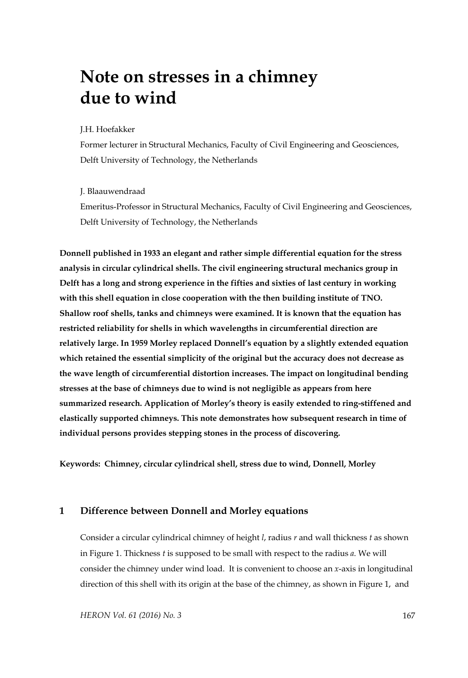# **Note on stresses in a chimney due to wind**

#### J.H. Hoefakker

Former lecturer in Structural Mechanics, Faculty of Civil Engineering and Geosciences, Delft University of Technology, the Netherlands

#### J. Blaauwendraad

Emeritus-Professor in Structural Mechanics, Faculty of Civil Engineering and Geosciences, Delft University of Technology, the Netherlands

**Donnell published in 1933 an elegant and rather simple differential equation for the stress analysis in circular cylindrical shells. The civil engineering structural mechanics group in Delft has a long and strong experience in the fifties and sixties of last century in working with this shell equation in close cooperation with the then building institute of TNO. Shallow roof shells, tanks and chimneys were examined. It is known that the equation has restricted reliability for shells in which wavelengths in circumferential direction are relatively large. In 1959 Morley replaced Donnell's equation by a slightly extended equation which retained the essential simplicity of the original but the accuracy does not decrease as the wave length of circumferential distortion increases. The impact on longitudinal bending stresses at the base of chimneys due to wind is not negligible as appears from here summarized research. Application of Morley's theory is easily extended to ring-stiffened and elastically supported chimneys. This note demonstrates how subsequent research in time of individual persons provides stepping stones in the process of discovering.** 

**Keywords: Chimney, circular cylindrical shell, stress due to wind, Donnell, Morley** 

## **1 Difference between Donnell and Morley equations**

Consider a circular cylindrical chimney of height *l*, radius *r* and wall thickness *t* as shown in Figure 1. Thickness *t* is supposed to be small with respect to the radius *a*. We will consider the chimney under wind load. It is convenient to choose an *x*-axis in longitudinal direction of this shell with its origin at the base of the chimney, as shown in Figure 1, and

*HERON Vol. 61 (2016) No. 3* 167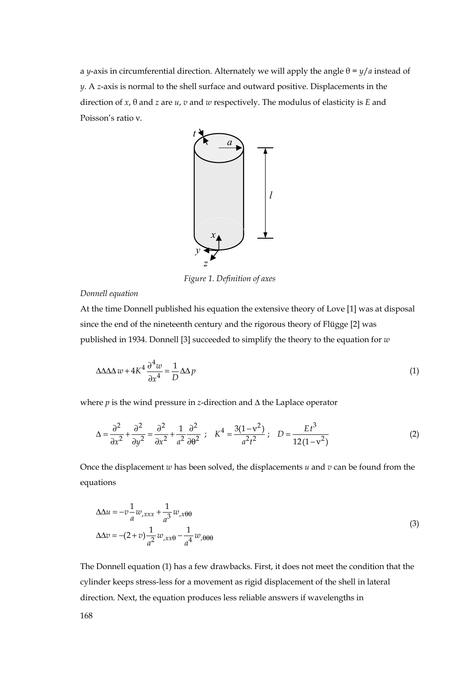a *y*-axis in circumferential direction. Alternately we will apply the angle  $θ = ψ/a$  instead of *y*. A *z*-axis is normal to the shell surface and outward positive. Displacements in the direction of *x*, θ and *z* are *u*, *v* and *w* respectively. The modulus of elasticity is *E* and Poisson's ratio ν.



*Figure 1. Definition of axes* 

*Donnell equation* 

At the time Donnell published his equation the extensive theory of Love [1] was at disposal since the end of the nineteenth century and the rigorous theory of Flügge [2] was published in 1934. Donnell [3] succeeded to simplify the theory to the equation for *w*

$$
\Delta \Delta \Delta w + 4K^4 \frac{\partial^4 w}{\partial x^4} = \frac{1}{D} \Delta \Delta p \tag{1}
$$

where  $p$  is the wind pressure in *z*-direction and  $\Delta$  the Laplace operator

$$
\Delta = \frac{\partial^2}{\partial x^2} + \frac{\partial^2}{\partial y^2} = \frac{\partial^2}{\partial x^2} + \frac{1}{a^2} \frac{\partial^2}{\partial \theta^2} ; \quad K^4 = \frac{3(1 - v^2)}{a^2 t^2} ; \quad D = \frac{E t^3}{12(1 - v^2)}
$$
(2)

Once the displacement *w* has been solved, the displacements *u* and *v* can be found from the equations

$$
\Delta \Delta u = -v \frac{1}{a} w_{,xxx} + \frac{1}{a^3} w_{,x\theta\theta}
$$
  

$$
\Delta \Delta v = -(2+v) \frac{1}{a^2} w_{,xx\theta} - \frac{1}{a^4} w_{,\theta\theta\theta}
$$
 (3)

The Donnell equation (1) has a few drawbacks. First, it does not meet the condition that the cylinder keeps stress-less for a movement as rigid displacement of the shell in lateral direction. Next, the equation produces less reliable answers if wavelengths in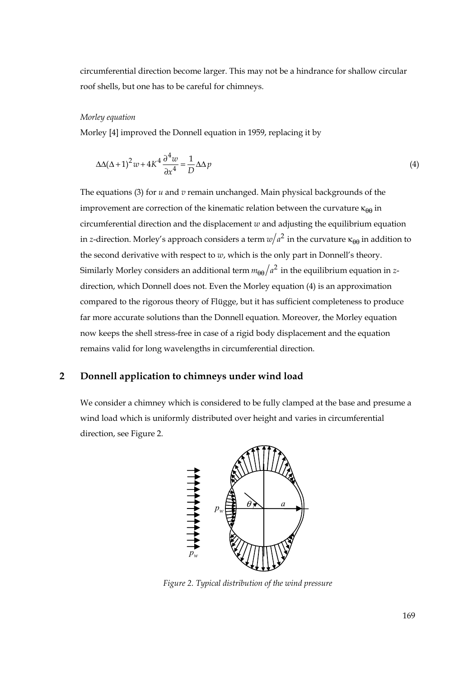circumferential direction become larger. This may not be a hindrance for shallow circular roof shells, but one has to be careful for chimneys.

#### *Morley equation*

Morley [4] improved the Donnell equation in 1959, replacing it by

$$
\Delta\Delta(\Delta+1)^2 w + 4K^4 \frac{\partial^4 w}{\partial x^4} = \frac{1}{D} \Delta\Delta p \tag{4}
$$

The equations (3) for *u* and *v* remain unchanged. Main physical backgrounds of the improvement are correction of the kinematic relation between the curvature  $\kappa_{\theta\theta}$  in circumferential direction and the displacement  $w$  and adjusting the equilibrium equation in *z*-direction. Morley's approach considers a term  $w/a^2$  in the curvature  $\kappa_{\theta\theta}$  in addition to the second derivative with respect to *w*, which is the only part in Donnell's theory. Similarly Morley considers an additional term  $m_{\theta\theta}/a^2$  in the equilibrium equation in *z*direction, which Donnell does not. Even the Morley equation (4) is an approximation compared to the rigorous theory of Flügge, but it has sufficient completeness to produce far more accurate solutions than the Donnell equation. Moreover, the Morley equation now keeps the shell stress-free in case of a rigid body displacement and the equation remains valid for long wavelengths in circumferential direction.

# **2 Donnell application to chimneys under wind load**

We consider a chimney which is considered to be fully clamped at the base and presume a wind load which is uniformly distributed over height and varies in circumferential direction, see Figure 2.



*Figure 2. Typical distribution of the wind pressure*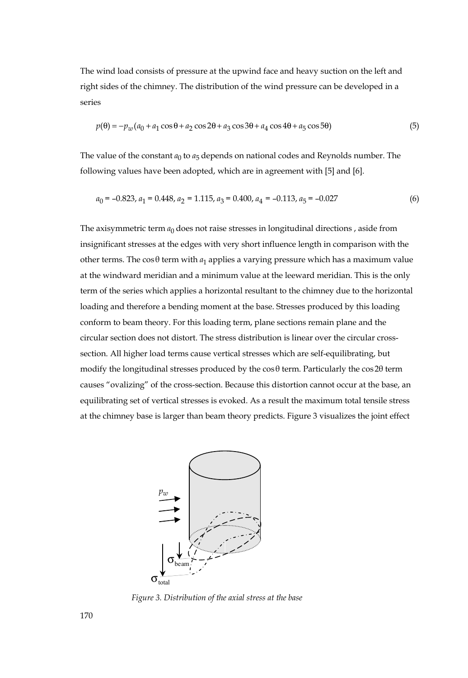The wind load consists of pressure at the upwind face and heavy suction on the left and right sides of the chimney. The distribution of the wind pressure can be developed in a series

$$
p(\theta) = -p_w(a_0 + a_1\cos\theta + a_2\cos2\theta + a_3\cos3\theta + a_4\cos4\theta + a_5\cos5\theta)
$$
 (5)

The value of the constant  $a_0$  to  $a_5$  depends on national codes and Reynolds number. The following values have been adopted, which are in agreement with [5] and [6].

$$
a_0 = -0.823, a_1 = 0.448, a_2 = 1.115, a_3 = 0.400, a_4 = -0.113, a_5 = -0.027
$$
\n
$$
(6)
$$

The axisymmetric term  $a_0$  does not raise stresses in longitudinal directions, aside from insignificant stresses at the edges with very short influence length in comparison with the other terms. The  $\cos\theta$  term with  $a_1$  applies a varying pressure which has a maximum value at the windward meridian and a minimum value at the leeward meridian. This is the only term of the series which applies a horizontal resultant to the chimney due to the horizontal loading and therefore a bending moment at the base. Stresses produced by this loading conform to beam theory. For this loading term, plane sections remain plane and the circular section does not distort. The stress distribution is linear over the circular crosssection. All higher load terms cause vertical stresses which are self-equilibrating, but modify the longitudinal stresses produced by the  $\cos\theta$  term. Particularly the  $\cos 2\theta$  term causes "ovalizing" of the cross-section. Because this distortion cannot occur at the base, an equilibrating set of vertical stresses is evoked. As a result the maximum total tensile stress at the chimney base is larger than beam theory predicts. Figure 3 visualizes the joint effect



 *Figure 3. Distribution of the axial stress at the base*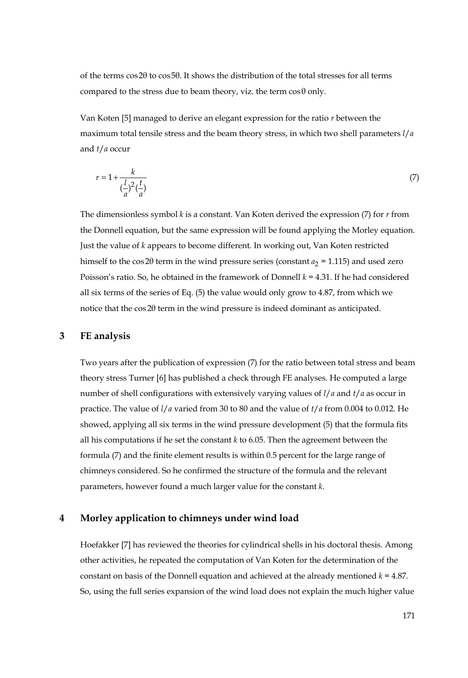of the terms cos2θ to cos5θ. It shows the distribution of the total stresses for all terms compared to the stress due to beam theory, viz. the term  $\cos\theta$  only.

Van Koten [5] managed to derive an elegant expression for the ratio *r* between the maximum total tensile stress and the beam theory stress, in which two shell parameters *l*/*a* and *t*/*a* occur

$$
r = 1 + \frac{k}{\left(\frac{l}{a}\right)^2 \left(\frac{t}{a}\right)}\tag{7}
$$

The dimensionless symbol *k* is a constant. Van Koten derived the expression (7) for *r* from the Donnell equation, but the same expression will be found applying the Morley equation. Just the value of *k* appears to become different. In working out, Van Koten restricted himself to the cos 2 $\theta$  term in the wind pressure series (constant  $a_2 = 1.115$ ) and used zero Poisson's ratio. So, he obtained in the framework of Donnell *k* = 4.31. If he had considered all six terms of the series of Eq. (5) the value would only grow to 4.87, from which we notice that the cos2θ term in the wind pressure is indeed dominant as anticipated.

# **3 FE analysis**

Two years after the publication of expression (7) for the ratio between total stress and beam theory stress Turner [6] has published a check through FE analyses. He computed a large number of shell configurations with extensively varying values of *l*/*a* and *t*/*a* as occur in practice. The value of *l*/*a* varied from 30 to 80 and the value of *t*/*a* from 0.004 to 0.012. He showed, applying all six terms in the wind pressure development (5) that the formula fits all his computations if he set the constant  $k$  to 6.05. Then the agreement between the formula (7) and the finite element results is within 0.5 percent for the large range of chimneys considered. So he confirmed the structure of the formula and the relevant parameters, however found a much larger value for the constant *k*.

#### **4 Morley application to chimneys under wind load**

Hoefakker [7] has reviewed the theories for cylindrical shells in his doctoral thesis. Among other activities, he repeated the computation of Van Koten for the determination of the constant on basis of the Donnell equation and achieved at the already mentioned  $k = 4.87$ . So, using the full series expansion of the wind load does not explain the much higher value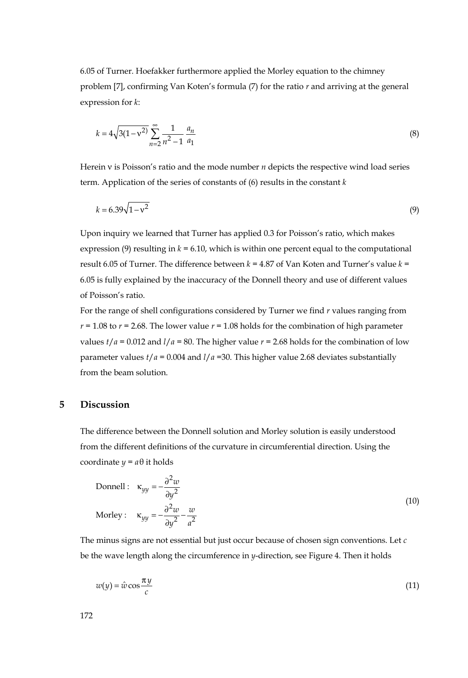6.05 of Turner. Hoefakker furthermore applied the Morley equation to the chimney problem [7], confirming Van Koten's formula (7) for the ratio *r* and arriving at the general expression for *k*:

$$
k = 4\sqrt{3(1 - v^2)} \sum_{n=2}^{\infty} \frac{1}{n^2 - 1} \frac{a_n}{a_1}
$$
 (8)

Herein ν is Poisson's ratio and the mode number *n* depicts the respective wind load series term. Application of the series of constants of (6) results in the constant *k*

$$
k = 6.39\sqrt{1 - v^2} \tag{9}
$$

Upon inquiry we learned that Turner has applied 0.3 for Poisson's ratio, which makes expression (9) resulting in  $k = 6.10$ , which is within one percent equal to the computational result 6.05 of Turner. The difference between *k* = 4.87 of Van Koten and Turner's value *k* = 6.05 is fully explained by the inaccuracy of the Donnell theory and use of different values of Poisson's ratio.

For the range of shell configurations considered by Turner we find *r* values ranging from  $r = 1.08$  to  $r = 2.68$ . The lower value  $r = 1.08$  holds for the combination of high parameter values  $t/a = 0.012$  and  $l/a = 80$ . The higher value  $r = 2.68$  holds for the combination of low parameter values  $t/a = 0.004$  and  $l/a = 30$ . This higher value 2.68 deviates substantially from the beam solution.

#### **5 Discussion**

The difference between the Donnell solution and Morley solution is easily understood from the different definitions of the curvature in circumferential direction. Using the coordinate  $y = a\theta$  it holds

$$
\text{Donnell}: \quad \kappa_{yy} = -\frac{\partial^2 w}{\partial y^2}
$$
\n
$$
\text{Morley}: \quad \kappa_{yy} = -\frac{\partial^2 w}{\partial y^2} - \frac{w}{a^2}
$$
\n
$$
\tag{10}
$$

The minus signs are not essential but just occur because of chosen sign conventions. Let *c* be the wave length along the circumference in *y*-direction, see Figure 4. Then it holds

$$
w(y) = \hat{w}\cos\frac{\pi y}{c} \tag{11}
$$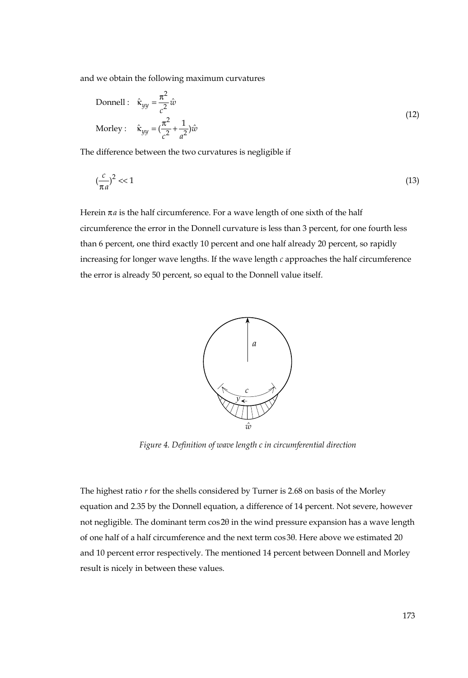and we obtain the following maximum curvatures

$$
\text{Donnell}: \quad \hat{\kappa}_{yy} = \frac{\pi^2}{c^2} \hat{w}
$$
\n
$$
\text{Morley}: \quad \hat{\kappa}_{yy} = \left(\frac{\pi^2}{c^2} + \frac{1}{a^2}\right)\hat{w}
$$
\n
$$
(12)
$$

The difference between the two curvatures is negligible if

$$
\left(\frac{c}{\pi a}\right)^2 << 1\tag{13}
$$

Herein  $\pi a$  is the half circumference. For a wave length of one sixth of the half circumference the error in the Donnell curvature is less than 3 percent, for one fourth less than 6 percent, one third exactly 10 percent and one half already 20 percent, so rapidly increasing for longer wave lengths. If the wave length *c* approaches the half circumference the error is already 50 percent, so equal to the Donnell value itself.



*Figure 4. Definition of wave length c in circumferential direction* 

The highest ratio *r* for the shells considered by Turner is 2.68 on basis of the Morley equation and 2.35 by the Donnell equation, a difference of 14 percent. Not severe, however not negligible. The dominant term cos2θ in the wind pressure expansion has a wave length of one half of a half circumference and the next term cos3θ. Here above we estimated 20 and 10 percent error respectively. The mentioned 14 percent between Donnell and Morley result is nicely in between these values.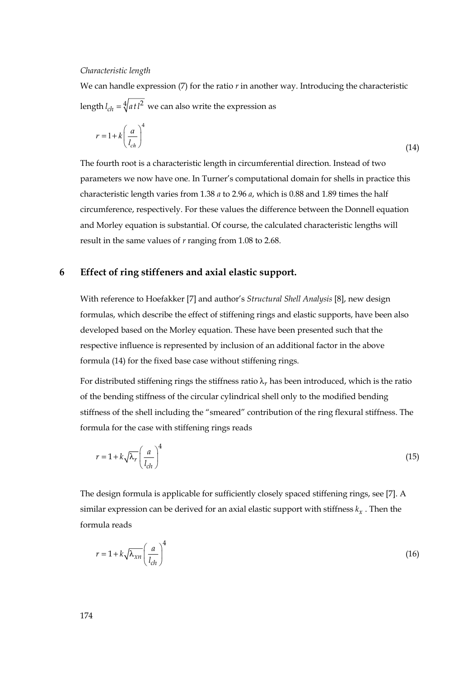#### *Characteristic length*

We can handle expression  $(7)$  for the ratio  $r$  in another way. Introducing the characteristic length  $l_{ch} = \sqrt[4]{atl^2}$  we can also write the expression as

$$
r = 1 + k \left(\frac{a}{l_{ch}}\right)^4 \tag{14}
$$

The fourth root is a characteristic length in circumferential direction. Instead of two parameters we now have one. In Turner's computational domain for shells in practice this characteristic length varies from 1.38 *a* to 2.96 *a*, which is 0.88 and 1.89 times the half circumference, respectively. For these values the difference between the Donnell equation and Morley equation is substantial. Of course, the calculated characteristic lengths will result in the same values of *r* ranging from 1.08 to 2.68.

## **6 Effect of ring stiffeners and axial elastic support.**

With reference to Hoefakker [7] and author's *Structural Shell Analysis* [8], new design formulas, which describe the effect of stiffening rings and elastic supports, have been also developed based on the Morley equation. These have been presented such that the respective influence is represented by inclusion of an additional factor in the above formula (14) for the fixed base case without stiffening rings.

For distributed stiffening rings the stiffness ratio  $\lambda_r$  has been introduced, which is the ratio of the bending stiffness of the circular cylindrical shell only to the modified bending stiffness of the shell including the "smeared" contribution of the ring flexural stiffness. The formula for the case with stiffening rings reads

$$
r = 1 + k \sqrt{\lambda_r} \left(\frac{a}{l_{ch}}\right)^4 \tag{15}
$$

The design formula is applicable for sufficiently closely spaced stiffening rings, see [7]. A similar expression can be derived for an axial elastic support with stiffness  $k<sub>x</sub>$ . Then the formula reads

$$
r = 1 + k \sqrt{\lambda_{xn}} \left(\frac{a}{l_{ch}}\right)^4 \tag{16}
$$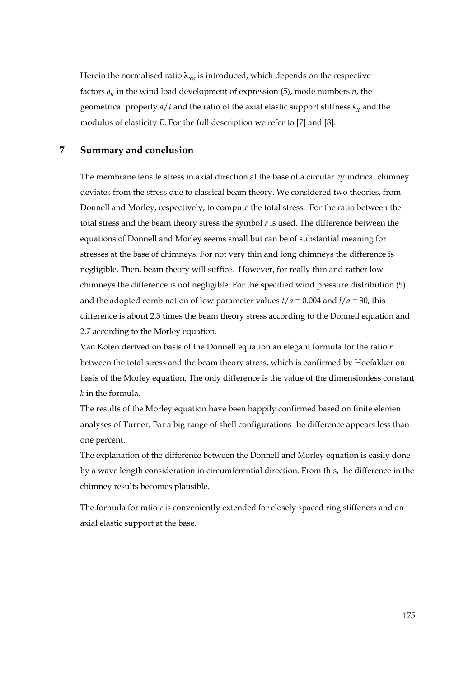Herein the normalised ratio  $\lambda_{x}$  is introduced, which depends on the respective factors  $a_n$  in the wind load development of expression (5), mode numbers  $n$ , the geometrical property  $a/t$  and the ratio of the axial elastic support stiffness  $k<sub>r</sub>$  and the modulus of elasticity *E*. For the full description we refer to [7] and [8].

## **7 Summary and conclusion**

The membrane tensile stress in axial direction at the base of a circular cylindrical chimney deviates from the stress due to classical beam theory. We considered two theories, from Donnell and Morley, respectively, to compute the total stress. For the ratio between the total stress and the beam theory stress the symbol *r* is used. The difference between the equations of Donnell and Morley seems small but can be of substantial meaning for stresses at the base of chimneys. For not very thin and long chimneys the difference is negligible. Then, beam theory will suffice. However, for really thin and rather low chimneys the difference is not negligible. For the specified wind pressure distribution (5) and the adopted combination of low parameter values  $t/a = 0.004$  and  $l/a = 30$ , this difference is about 2.3 times the beam theory stress according to the Donnell equation and 2.7 according to the Morley equation.

Van Koten derived on basis of the Donnell equation an elegant formula for the ratio *r* between the total stress and the beam theory stress, which is confirmed by Hoefakker on basis of the Morley equation. The only difference is the value of the dimensionless constant *k* in the formula.

The results of the Morley equation have been happily confirmed based on finite element analyses of Turner. For a big range of shell configurations the difference appears less than one percent.

The explanation of the difference between the Donnell and Morley equation is easily done by a wave length consideration in circumferential direction. From this, the difference in the chimney results becomes plausible.

The formula for ratio  $r$  is conveniently extended for closely spaced ring stiffeners and an axial elastic support at the base.